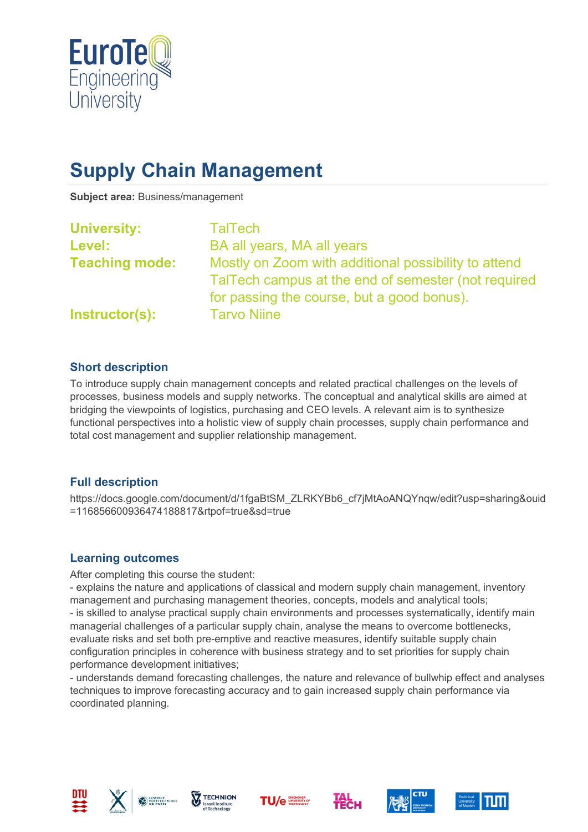

# **Supply Chain Management**

**Subject area:** Business/management

| <b>University:</b>    | <b>TalTech</b>                                                                                                                                            |
|-----------------------|-----------------------------------------------------------------------------------------------------------------------------------------------------------|
| <b>Level:</b>         | BA all years, MA all years                                                                                                                                |
| <b>Teaching mode:</b> | Mostly on Zoom with additional possibility to attend<br>TalTech campus at the end of semester (not required<br>for passing the course, but a good bonus). |
| Instructor(s):        | <b>Tarvo Niine</b>                                                                                                                                        |

## **Short description**

To introduce supply chain management concepts and related practical challenges on the levels of processes, business models and supply networks. The conceptual and analytical skills are aimed at bridging the viewpoints of logistics, purchasing and CEO levels. A relevant aim is to synthesize functional perspectives into a holistic view of supply chain processes, supply chain performance and total cost management and supplier relationship management.

### **Full description**

https://docs.google.com/document/d/1fgaBtSM\_ZLRKYBb6\_cf7jMtAoANQYnqw/edit?usp=sharing&ouid =116856600936474188817&rtpof=true&sd=true

### **Learning outcomes**

After completing this course the student:

- explains the nature and applications of classical and modern supply chain management, inventory management and purchasing management theories, concepts, models and analytical tools; - is skilled to analyse practical supply chain environments and processes systematically, identify main managerial challenges of a particular supply chain, analyse the means to overcome bottlenecks, evaluate risks and set both pre-emptive and reactive measures, identify suitable supply chain configuration principles in coherence with business strategy and to set priorities for supply chain performance development initiatives;

- understands demand forecasting challenges, the nature and relevance of bullwhip effect and analyses techniques to improve forecasting accuracy and to gain increased supply chain performance via coordinated planning.













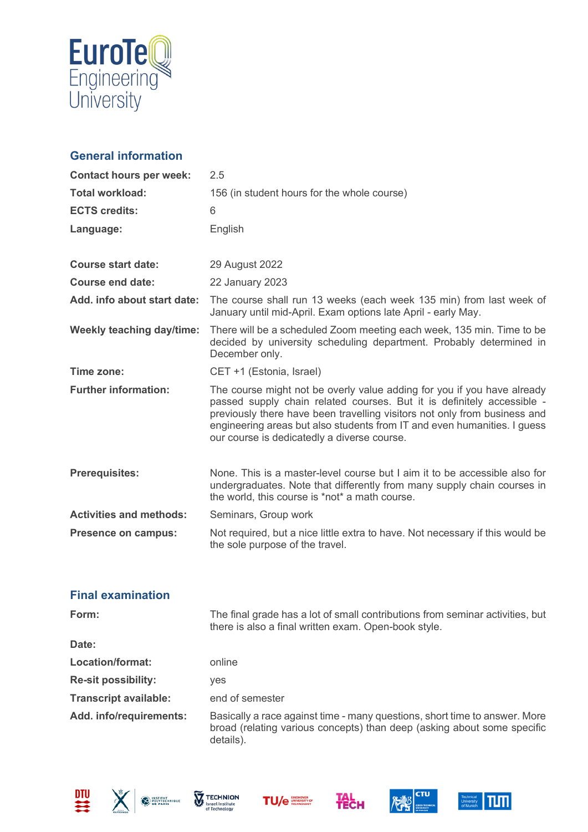

# **General information**

| <b>Contact hours per week:</b>   | 2.5                                                                                                                                                                                                                                                                                                                                                       |
|----------------------------------|-----------------------------------------------------------------------------------------------------------------------------------------------------------------------------------------------------------------------------------------------------------------------------------------------------------------------------------------------------------|
| <b>Total workload:</b>           | 156 (in student hours for the whole course)                                                                                                                                                                                                                                                                                                               |
| <b>ECTS credits:</b>             | 6                                                                                                                                                                                                                                                                                                                                                         |
| Language:                        | English                                                                                                                                                                                                                                                                                                                                                   |
|                                  |                                                                                                                                                                                                                                                                                                                                                           |
| <b>Course start date:</b>        | 29 August 2022                                                                                                                                                                                                                                                                                                                                            |
| Course end date:                 | <b>22 January 2023</b>                                                                                                                                                                                                                                                                                                                                    |
| Add. info about start date:      | The course shall run 13 weeks (each week 135 min) from last week of<br>January until mid-April. Exam options late April - early May.                                                                                                                                                                                                                      |
| <b>Weekly teaching day/time:</b> | There will be a scheduled Zoom meeting each week, 135 min. Time to be<br>decided by university scheduling department. Probably determined in<br>December only.                                                                                                                                                                                            |
| Time zone:                       | CET +1 (Estonia, Israel)                                                                                                                                                                                                                                                                                                                                  |
| <b>Further information:</b>      | The course might not be overly value adding for you if you have already<br>passed supply chain related courses. But it is definitely accessible -<br>previously there have been travelling visitors not only from business and<br>engineering areas but also students from IT and even humanities. I guess<br>our course is dedicatedly a diverse course. |
| <b>Prerequisites:</b>            | None. This is a master-level course but I aim it to be accessible also for<br>undergraduates. Note that differently from many supply chain courses in<br>the world, this course is *not* a math course.                                                                                                                                                   |
| <b>Activities and methods:</b>   | Seminars, Group work                                                                                                                                                                                                                                                                                                                                      |
| <b>Presence on campus:</b>       | Not required, but a nice little extra to have. Not necessary if this would be<br>the sole purpose of the travel.                                                                                                                                                                                                                                          |
|                                  |                                                                                                                                                                                                                                                                                                                                                           |

## **Final examination**

| Form:                        | The final grade has a lot of small contributions from seminar activities, but<br>there is also a final written exam. Open-book style.                              |
|------------------------------|--------------------------------------------------------------------------------------------------------------------------------------------------------------------|
| Date:                        |                                                                                                                                                                    |
| Location/format:             | online                                                                                                                                                             |
| <b>Re-sit possibility:</b>   | <b>ves</b>                                                                                                                                                         |
| <b>Transcript available:</b> | end of semester                                                                                                                                                    |
| Add. info/requirements:      | Basically a race against time - many questions, short time to answer. More<br>broad (relating various concepts) than deep (asking about some specific<br>details). |